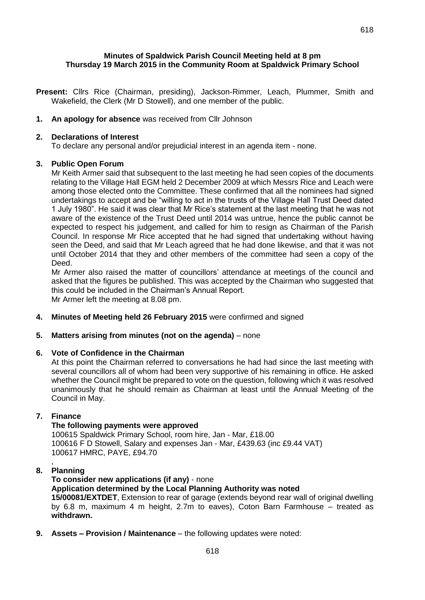## **Minutes of Spaldwick Parish Council Meeting held at 8 pm Thursday 19 March 2015 in the Community Room at Spaldwick Primary School**

**Present:** Cllrs Rice (Chairman, presiding), Jackson-Rimmer, Leach, Plummer, Smith and Wakefield, the Clerk (Mr D Stowell), and one member of the public.

## **1. An apology for absence** was received from Cllr Johnson

### **2. Declarations of Interest**

To declare any personal and/or prejudicial interest in an agenda item - none.

### **3. Public Open Forum**

Mr Keith Armer said that subsequent to the last meeting he had seen copies of the documents relating to the Village Hall EGM held 2 December 2009 at which Messrs Rice and Leach were among those elected onto the Committee. These confirmed that all the nominees had signed undertakings to accept and be "willing to act in the trusts of the Village Hall Trust Deed dated 1 July 1980". He said it was clear that Mr Rice's statement at the last meeting that he was not aware of the existence of the Trust Deed until 2014 was untrue, hence the public cannot be expected to respect his judgement, and called for him to resign as Chairman of the Parish Council. In response Mr Rice accepted that he had signed that undertaking without having seen the Deed, and said that Mr Leach agreed that he had done likewise, and that it was not until October 2014 that they and other members of the committee had seen a copy of the Deed.

Mr Armer also raised the matter of councillors' attendance at meetings of the council and asked that the figures be published. This was accepted by the Chairman who suggested that this could be included in the Chairman's Annual Report. Mr Armer left the meeting at 8.08 pm.

**4. Minutes of Meeting held 26 February 2015** were confirmed and signed

### **5. Matters arising from minutes (not on the agenda)** – none

### **6. Vote of Confidence in the Chairman**

At this point the Chairman referred to conversations he had had since the last meeting with several councillors all of whom had been very supportive of his remaining in office. He asked whether the Council might be prepared to vote on the question, following which it was resolved unanimously that he should remain as Chairman at least until the Annual Meeting of the Council in May.

# **7. Finance**

#### **The following payments were approved**

100615 Spaldwick Primary School, room hire, Jan - Mar, £18.00 100616 F D Stowell, Salary and expenses Jan - Mar, £439.63 (inc £9.44 VAT) 100617 HMRC, PAYE, £94.70

## **8. Planning**

,

**To consider new applications (if any)** - none **Application determined by the Local Planning Authority was noted 15/00081/EXTDET**, Extension to rear of garage (extends beyond rear wall of original dwelling by 6.8 m, maximum 4 m height, 2.7m to eaves), Coton Barn Farmhouse – treated as **withdrawn.**

**9. Assets – Provision / Maintenance** – the following updates were noted: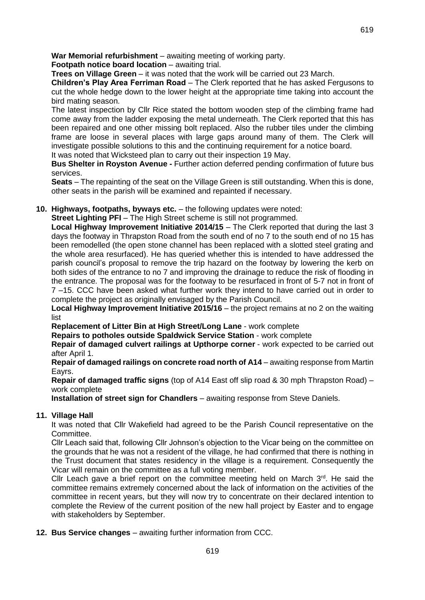**Footpath notice board location** – awaiting trial.

**Trees on Village Green** – it was noted that the work will be carried out 23 March.

**Children's Play Area Ferriman Road** – The Clerk reported that he has asked Fergusons to cut the whole hedge down to the lower height at the appropriate time taking into account the bird mating season.

The latest inspection by Cllr Rice stated the bottom wooden step of the climbing frame had come away from the ladder exposing the metal underneath. The Clerk reported that this has been repaired and one other missing bolt replaced. Also the rubber tiles under the climbing frame are loose in several places with large gaps around many of them. The Clerk will investigate possible solutions to this and the continuing requirement for a notice board.

It was noted that Wicksteed plan to carry out their inspection 19 May.

**Bus Shelter in Royston Avenue -** Further action deferred pending confirmation of future bus services.

**Seats** – The repainting of the seat on the Village Green is still outstanding. When this is done, other seats in the parish will be examined and repainted if necessary.

# **10. Highways, footpaths, byways etc.** – the following updates were noted:

**Street Lighting PFI** – The High Street scheme is still not programmed.

**Local Highway Improvement Initiative 2014/15** – The Clerk reported that during the last 3 days the footway in Thrapston Road from the south end of no 7 to the south end of no 15 has been remodelled (the open stone channel has been replaced with a slotted steel grating and the whole area resurfaced). He has queried whether this is intended to have addressed the parish council's proposal to remove the trip hazard on the footway by lowering the kerb on both sides of the entrance to no 7 and improving the drainage to reduce the risk of flooding in the entrance. The proposal was for the footway to be resurfaced in front of 5-7 not in front of 7 –15. CCC have been asked what further work they intend to have carried out in order to complete the project as originally envisaged by the Parish Council.

**Local Highway Improvement Initiative 2015/16** – the project remains at no 2 on the waiting list

**Replacement of Litter Bin at High Street/Long Lane** - work complete

**Repairs to potholes outside Spaldwick Service Station** - work complete

**Repair of damaged culvert railings at Upthorpe corner** - work expected to be carried out after April 1.

**Repair of damaged railings on concrete road north of A14** – awaiting response from Martin Eayrs.

**Repair of damaged traffic signs** (top of A14 East off slip road & 30 mph Thrapston Road) – work complete

**Installation of street sign for Chandlers** – awaiting response from Steve Daniels.

# **11. Village Hall**

It was noted that Cllr Wakefield had agreed to be the Parish Council representative on the Committee.

Cllr Leach said that, following Cllr Johnson's objection to the Vicar being on the committee on the grounds that he was not a resident of the village, he had confirmed that there is nothing in the Trust document that states residency in the village is a requirement. Consequently the Vicar will remain on the committee as a full voting member.

Cllr Leach gave a brief report on the committee meeting held on March  $3^{rd}$ . He said the committee remains extremely concerned about the lack of information on the activities of the committee in recent years, but they will now try to concentrate on their declared intention to complete the Review of the current position of the new hall project by Easter and to engage with stakeholders by September.

**12. Bus Service changes** – awaiting further information from CCC.

619